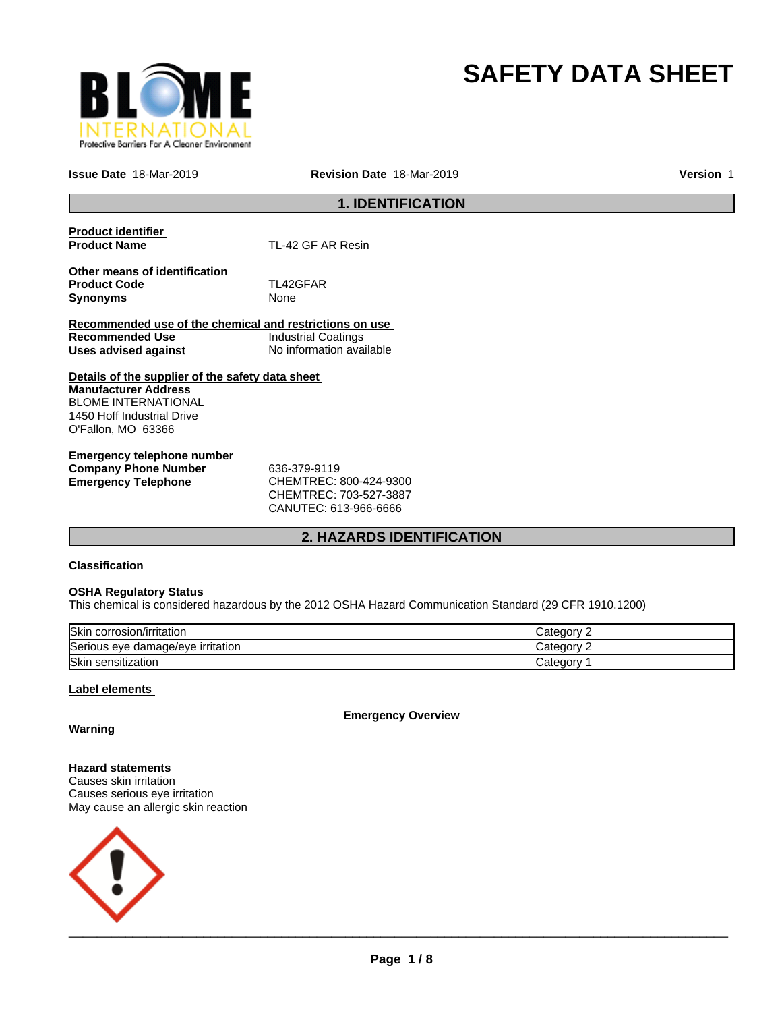

# **SAFETY DATA SHEET**

**Issue Date** 18-Mar-2019 **Revision Date** 18-Mar-2019 **Version** 1

# **1. IDENTIFICATION**

| <b>Product identifier</b>                               |                            |  |  |
|---------------------------------------------------------|----------------------------|--|--|
| <b>Product Name</b>                                     | TL-42 GF AR Resin          |  |  |
|                                                         |                            |  |  |
| Other means of identification                           |                            |  |  |
| <b>Product Code</b>                                     | TL42GFAR                   |  |  |
| <b>Synonyms</b>                                         | None                       |  |  |
|                                                         |                            |  |  |
| Recommended use of the chemical and restrictions on use |                            |  |  |
| Recommended Use                                         | <b>Industrial Coatings</b> |  |  |
| Uses advised against                                    | No information available   |  |  |
|                                                         |                            |  |  |
| Details of the supplier of the safety data sheet        |                            |  |  |
| <b>Manufacturer Address</b>                             |                            |  |  |
| <b>BLOME INTERNATIONAL</b>                              |                            |  |  |
| 1450 Hoff Industrial Drive                              |                            |  |  |
| O'Fallon, MO 63366                                      |                            |  |  |
|                                                         |                            |  |  |
| Emergency telephone number                              |                            |  |  |

| Elliergency telephone humber |                        |  |
|------------------------------|------------------------|--|
| <b>Company Phone Number</b>  | 636-379-9119           |  |
| Emergency Telephone          | CHEMTREC: 800-424-9300 |  |
|                              | CHEMTREC: 703-527-3887 |  |

CANUTEC: 613-966-6666

# **2. HAZARDS IDENTIFICATION**

### **Classification**

#### **OSHA Regulatory Status**

This chemical is considered hazardous by the 2012 OSHA Hazard Communication Standard (29 CFR 1910.1200)

| Skin<br>corrosion/irritation      | ⊜ategor  |
|-----------------------------------|----------|
| Serious eye damage/eye irritation | : ategor |
| Skin<br>ı sensitization           | ∪ategor∨ |

### **Label elements**

**Emergency Overview**

**Warning**

**Hazard statements** Causes skin irritation Causes serious eye irritation May cause an allergic skin reaction

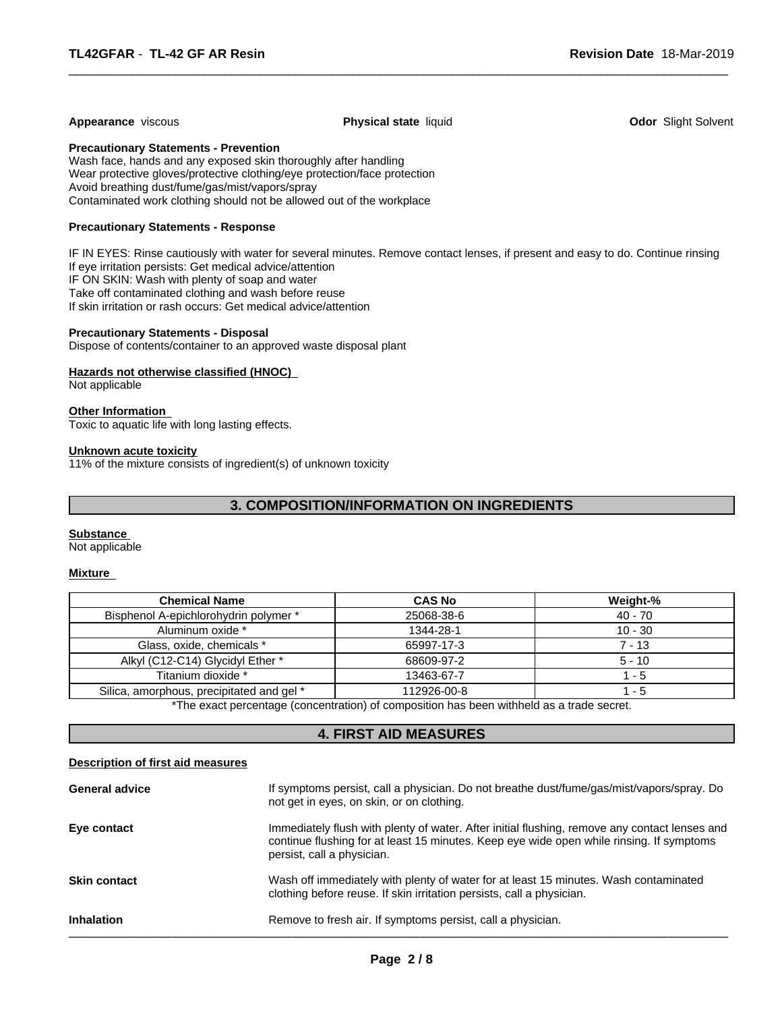#### **Appearance** viscous **Physical state** liquid **Odor** Slight Solvent

 $\overline{\phantom{a}}$  ,  $\overline{\phantom{a}}$  ,  $\overline{\phantom{a}}$  ,  $\overline{\phantom{a}}$  ,  $\overline{\phantom{a}}$  ,  $\overline{\phantom{a}}$  ,  $\overline{\phantom{a}}$  ,  $\overline{\phantom{a}}$  ,  $\overline{\phantom{a}}$  ,  $\overline{\phantom{a}}$  ,  $\overline{\phantom{a}}$  ,  $\overline{\phantom{a}}$  ,  $\overline{\phantom{a}}$  ,  $\overline{\phantom{a}}$  ,  $\overline{\phantom{a}}$  ,  $\overline{\phantom{a}}$ 

**Precautionary Statements - Prevention**

Wash face, hands and any exposed skin thoroughly after handling Wear protective gloves/protective clothing/eye protection/face protection Avoid breathing dust/fume/gas/mist/vapors/spray Contaminated work clothing should not be allowed out of the workplace

#### **Precautionary Statements - Response**

IF IN EYES: Rinse cautiously with water for several minutes. Remove contact lenses, if present and easy to do. Continue rinsing If eye irritation persists: Get medical advice/attention IF ON SKIN: Wash with plenty of soap and water Take off contaminated clothing and wash before reuse If skin irritation or rash occurs: Get medical advice/attention

#### **Precautionary Statements - Disposal**

Dispose of contents/container to an approved waste disposal plant

#### **Hazards not otherwise classified (HNOC)**

Not applicable

#### **Other Information**

Toxic to aquatic life with long lasting effects.

#### **Unknown acute toxicity**

11% of the mixture consists of ingredient(s) of unknown toxicity

# **3. COMPOSITION/INFORMATION ON INGREDIENTS**

#### **Substance**

Not applicable

#### **Mixture**

| <b>Chemical Name</b>                      | <b>CAS No</b> | Weight-%  |
|-------------------------------------------|---------------|-----------|
| Bisphenol A-epichlorohydrin polymer *     | 25068-38-6    | $40 - 70$ |
| Aluminum oxide *                          | 1344-28-1     | $10 - 30$ |
| Glass, oxide, chemicals *                 | 65997-17-3    | $7 - 13$  |
| Alkyl (C12-C14) Glycidyl Ether *          | 68609-97-2    | $5 - 10$  |
| Titanium dioxide *                        | 13463-67-7    | - 5       |
| Silica, amorphous, precipitated and gel * | 112926-00-8   | - 5       |

\*The exact percentage (concentration) of composition has been withheld as a trade secret.

# **4. FIRST AID MEASURES**

#### **Description of first aid measures**

| <b>General advice</b> | If symptoms persist, call a physician. Do not breathe dust/fume/gas/mist/vapors/spray. Do<br>not get in eyes, on skin, or on clothing.                                                                                  |
|-----------------------|-------------------------------------------------------------------------------------------------------------------------------------------------------------------------------------------------------------------------|
| Eye contact           | Immediately flush with plenty of water. After initial flushing, remove any contact lenses and<br>continue flushing for at least 15 minutes. Keep eye wide open while rinsing. If symptoms<br>persist, call a physician. |
| <b>Skin contact</b>   | Wash off immediately with plenty of water for at least 15 minutes. Wash contaminated<br>clothing before reuse. If skin irritation persists, call a physician.                                                           |
| <b>Inhalation</b>     | Remove to fresh air. If symptoms persist, call a physician.                                                                                                                                                             |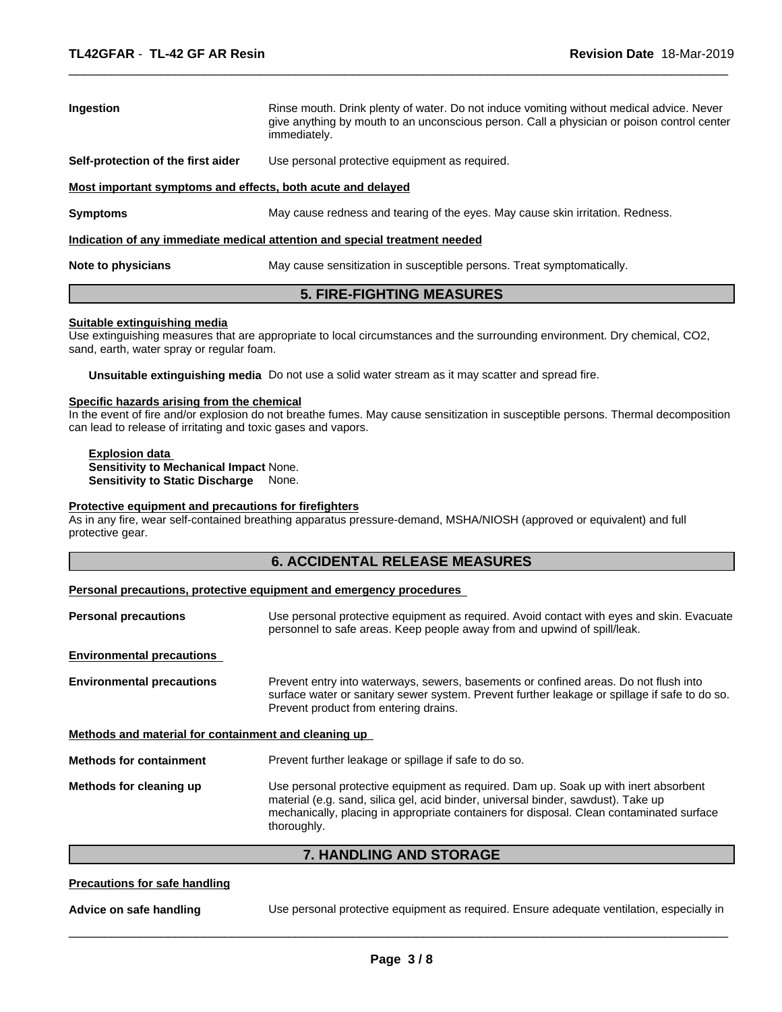| <b>Ingestion</b>                                                           | Rinse mouth. Drink plenty of water. Do not induce vomiting without medical advice. Never<br>give anything by mouth to an unconscious person. Call a physician or poison control center<br>immediately. |  |  |  |
|----------------------------------------------------------------------------|--------------------------------------------------------------------------------------------------------------------------------------------------------------------------------------------------------|--|--|--|
| Self-protection of the first aider                                         | Use personal protective equipment as required.                                                                                                                                                         |  |  |  |
| Most important symptoms and effects, both acute and delayed                |                                                                                                                                                                                                        |  |  |  |
| <b>Symptoms</b>                                                            | May cause redness and tearing of the eyes. May cause skin irritation. Redness.                                                                                                                         |  |  |  |
| Indication of any immediate medical attention and special treatment needed |                                                                                                                                                                                                        |  |  |  |
| Note to physicians                                                         | May cause sensitization in susceptible persons. Treat symptomatically.                                                                                                                                 |  |  |  |

 $\overline{\phantom{a}}$  ,  $\overline{\phantom{a}}$  ,  $\overline{\phantom{a}}$  ,  $\overline{\phantom{a}}$  ,  $\overline{\phantom{a}}$  ,  $\overline{\phantom{a}}$  ,  $\overline{\phantom{a}}$  ,  $\overline{\phantom{a}}$  ,  $\overline{\phantom{a}}$  ,  $\overline{\phantom{a}}$  ,  $\overline{\phantom{a}}$  ,  $\overline{\phantom{a}}$  ,  $\overline{\phantom{a}}$  ,  $\overline{\phantom{a}}$  ,  $\overline{\phantom{a}}$  ,  $\overline{\phantom{a}}$ 

# **5. FIRE-FIGHTING MEASURES**

#### **Suitable extinguishing media**

Use extinguishing measures that are appropriate to local circumstances and the surrounding environment. Dry chemical, CO2, sand, earth, water spray or regular foam.

**Unsuitable extinguishing media** Do not use a solid water stream as it may scatter and spread fire.

#### **Specific hazards arising from the chemical**

In the event of fire and/or explosion do not breathe fumes. May cause sensitization in susceptible persons. Thermal decomposition can lead to release of irritating and toxic gases and vapors.

**Explosion data Sensitivity to Mechanical Impact** None. **Sensitivity to Static Discharge** None.

#### **Protective equipment and precautions for firefighters**

As in any fire, wear self-contained breathing apparatus pressure-demand, MSHA/NIOSH (approved or equivalent) and full protective gear.

# **6. ACCIDENTAL RELEASE MEASURES**

#### **Personal precautions, protective equipment and emergency procedures**

| <b>Personal precautions</b>                          | Use personal protective equipment as required. Avoid contact with eyes and skin. Evacuate<br>personnel to safe areas. Keep people away from and upwind of spill/leak.                                                                                                               |  |
|------------------------------------------------------|-------------------------------------------------------------------------------------------------------------------------------------------------------------------------------------------------------------------------------------------------------------------------------------|--|
| <b>Environmental precautions</b>                     |                                                                                                                                                                                                                                                                                     |  |
| <b>Environmental precautions</b>                     | Prevent entry into waterways, sewers, basements or confined areas. Do not flush into<br>surface water or sanitary sewer system. Prevent further leakage or spillage if safe to do so.<br>Prevent product from entering drains.                                                      |  |
| Methods and material for containment and cleaning up |                                                                                                                                                                                                                                                                                     |  |
| <b>Methods for containment</b>                       | Prevent further leakage or spillage if safe to do so.                                                                                                                                                                                                                               |  |
| Methods for cleaning up                              | Use personal protective equipment as required. Dam up. Soak up with inert absorbent<br>material (e.g. sand, silica gel, acid binder, universal binder, sawdust). Take up<br>mechanically, placing in appropriate containers for disposal. Clean contaminated surface<br>thoroughly. |  |

#### **7. HANDLING AND STORAGE**

#### **Precautions for safe handling**

**Advice on safe handling** Use personal protective equipment as required. Ensure adequate ventilation, especially in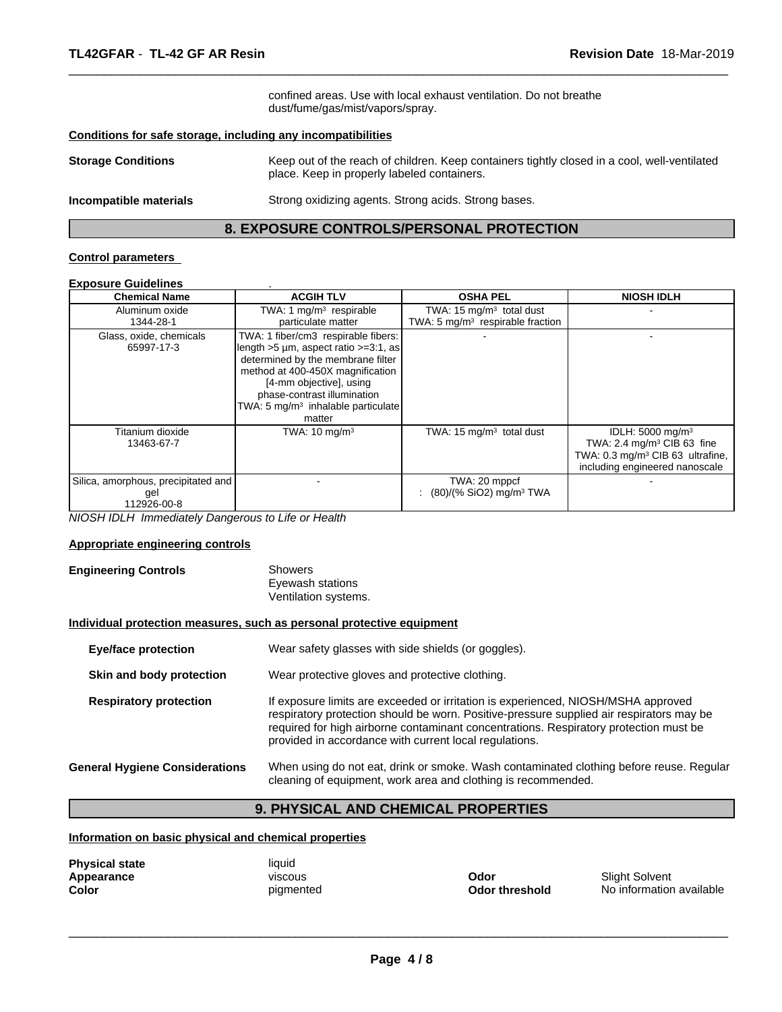confined areas. Use with local exhaust ventilation. Do not breathe dust/fume/gas/mist/vapors/spray.

 $\overline{\phantom{a}}$  ,  $\overline{\phantom{a}}$  ,  $\overline{\phantom{a}}$  ,  $\overline{\phantom{a}}$  ,  $\overline{\phantom{a}}$  ,  $\overline{\phantom{a}}$  ,  $\overline{\phantom{a}}$  ,  $\overline{\phantom{a}}$  ,  $\overline{\phantom{a}}$  ,  $\overline{\phantom{a}}$  ,  $\overline{\phantom{a}}$  ,  $\overline{\phantom{a}}$  ,  $\overline{\phantom{a}}$  ,  $\overline{\phantom{a}}$  ,  $\overline{\phantom{a}}$  ,  $\overline{\phantom{a}}$ 

#### **Conditions for safe storage, including any incompatibilities**

| <b>Storage Conditions</b> | Keep out of the reach of children. Keep containers tightly closed in a cool, well-ventilated<br>place. Keep in properly labeled containers. |  |
|---------------------------|---------------------------------------------------------------------------------------------------------------------------------------------|--|
| Incompatible materials    | Strong oxidizing agents. Strong acids. Strong bases.                                                                                        |  |

# **8. EXPOSURE CONTROLS/PERSONAL PROTECTION**

#### **Control parameters**

# **Exposure Guidelines** .

| <b>Chemical Name</b>                                      | <b>ACGIH TLV</b>                                                                                                                                                                                                                                                           | <b>OSHA PEL</b>                                                           | <b>NIOSH IDLH</b>                                                                                                                                        |
|-----------------------------------------------------------|----------------------------------------------------------------------------------------------------------------------------------------------------------------------------------------------------------------------------------------------------------------------------|---------------------------------------------------------------------------|----------------------------------------------------------------------------------------------------------------------------------------------------------|
| Aluminum oxide<br>1344-28-1                               | TWA: 1 $mq/m3$ respirable<br>particulate matter                                                                                                                                                                                                                            | TWA: $15 \text{ mg/m}^3$ total dust<br>TWA: 5 $mq/m3$ respirable fraction |                                                                                                                                                          |
| Glass, oxide, chemicals<br>65997-17-3                     | TWA: 1 fiber/cm3 respirable fibers:<br>length >5 um, aspect ratio >=3:1, as<br>determined by the membrane filter<br>method at 400-450X magnification<br>[4-mm objective], using<br>phase-contrast illumination<br>TWA: 5 mg/m <sup>3</sup> inhalable particulate<br>matter |                                                                           |                                                                                                                                                          |
| Titanium dioxide<br>13463-67-7                            | TWA: $10 \text{ mg/m}^3$                                                                                                                                                                                                                                                   | TWA: $15 \text{ mg/m}^3$ total dust                                       | IDLH: 5000 mg/m <sup>3</sup><br>TWA: 2.4 mg/m <sup>3</sup> CIB 63 fine<br>TWA: 0.3 mg/m <sup>3</sup> CIB 63 ultrafine,<br>including engineered nanoscale |
| Silica, amorphous, precipitated and<br>gel<br>112926-00-8 |                                                                                                                                                                                                                                                                            | TWA: 20 mppcf<br>$(80)/(%$ SiO2) mg/m <sup>3</sup> TWA                    |                                                                                                                                                          |

*NIOSH IDLH Immediately Dangerous to Life or Health*

#### **Appropriate engineering controls**

#### **Engineering Controls** Showers Eyewash stations Ventilation systems.

#### **Individual protection measures, such as personal protective equipment**

| Wear safety glasses with side shields (or goggles).<br><b>Eye/face protection</b><br>Wear protective gloves and protective clothing.<br>Skin and body protection |                                       |                                                                                                                                                                                                                                                                                                                                  |
|------------------------------------------------------------------------------------------------------------------------------------------------------------------|---------------------------------------|----------------------------------------------------------------------------------------------------------------------------------------------------------------------------------------------------------------------------------------------------------------------------------------------------------------------------------|
|                                                                                                                                                                  |                                       |                                                                                                                                                                                                                                                                                                                                  |
|                                                                                                                                                                  | <b>Respiratory protection</b>         | If exposure limits are exceeded or irritation is experienced, NIOSH/MSHA approved<br>respiratory protection should be worn. Positive-pressure supplied air respirators may be<br>required for high airborne contaminant concentrations. Respiratory protection must be<br>provided in accordance with current local regulations. |
|                                                                                                                                                                  | <b>General Hygiene Considerations</b> | When using do not eat, drink or smoke. Wash contaminated clothing before reuse. Regular<br>cleaning of equipment, work area and clothing is recommended.                                                                                                                                                                         |

# **9. PHYSICAL AND CHEMICAL PROPERTIES**

**Information on basic physical and chemical properties**

| <b>Physical state</b> | liauid         |                |                       |
|-----------------------|----------------|----------------|-----------------------|
| Appearance            | <b>VISCOUS</b> | Odor           | <b>Slight Solvent</b> |
| Color                 | pigmented      | Odor threshold | No information        |

 $\overline{\phantom{a}}$  ,  $\overline{\phantom{a}}$  ,  $\overline{\phantom{a}}$  ,  $\overline{\phantom{a}}$  ,  $\overline{\phantom{a}}$  ,  $\overline{\phantom{a}}$  ,  $\overline{\phantom{a}}$  ,  $\overline{\phantom{a}}$  ,  $\overline{\phantom{a}}$  ,  $\overline{\phantom{a}}$  ,  $\overline{\phantom{a}}$  ,  $\overline{\phantom{a}}$  ,  $\overline{\phantom{a}}$  ,  $\overline{\phantom{a}}$  ,  $\overline{\phantom{a}}$  ,  $\overline{\phantom{a}}$ 

**Odor threshold** No information available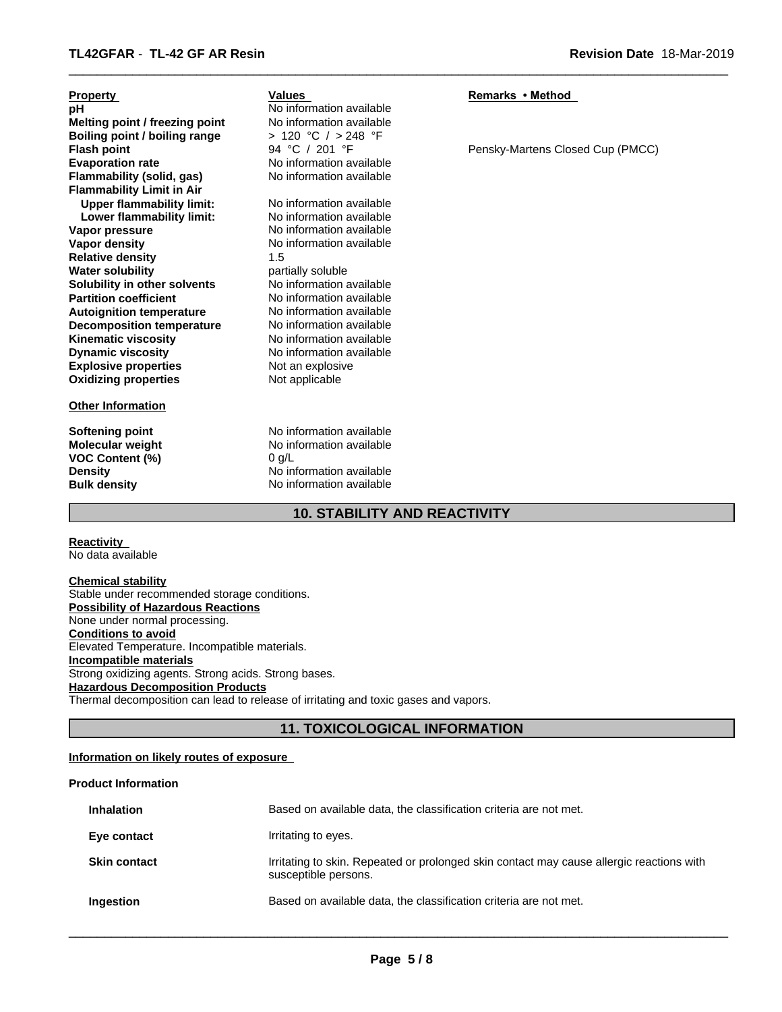| <b>Property</b>                  | Values                   | Remarks • Method                 |
|----------------------------------|--------------------------|----------------------------------|
| рH                               | No information available |                                  |
| Melting point / freezing point   | No information available |                                  |
| Boiling point / boiling range    | > 120 °C / > 248 °F      |                                  |
| <b>Flash point</b>               | 94 °C / 201 °F           | Pensky-Martens Closed Cup (PMCC) |
| <b>Evaporation rate</b>          | No information available |                                  |
| Flammability (solid, gas)        | No information available |                                  |
| <b>Flammability Limit in Air</b> |                          |                                  |
| <b>Upper flammability limit:</b> | No information available |                                  |
| Lower flammability limit:        | No information available |                                  |
| Vapor pressure                   | No information available |                                  |
| Vapor density                    | No information available |                                  |
| <b>Relative density</b>          | 1.5                      |                                  |
| <b>Water solubility</b>          | partially soluble        |                                  |
| Solubility in other solvents     | No information available |                                  |
| <b>Partition coefficient</b>     | No information available |                                  |
| <b>Autoignition temperature</b>  | No information available |                                  |
| <b>Decomposition temperature</b> | No information available |                                  |
| <b>Kinematic viscosity</b>       | No information available |                                  |
| <b>Dynamic viscosity</b>         | No information available |                                  |
| <b>Explosive properties</b>      | Not an explosive         |                                  |
| <b>Oxidizing properties</b>      | Not applicable           |                                  |
|                                  |                          |                                  |
| <b>Other Information</b>         |                          |                                  |
|                                  |                          |                                  |
| Softening point                  | No information available |                                  |
| <b>Molecular weight</b>          | No information available |                                  |
| <b>VOC Content (%)</b>           | 0 q/L                    |                                  |

 $\overline{\phantom{a}}$  ,  $\overline{\phantom{a}}$  ,  $\overline{\phantom{a}}$  ,  $\overline{\phantom{a}}$  ,  $\overline{\phantom{a}}$  ,  $\overline{\phantom{a}}$  ,  $\overline{\phantom{a}}$  ,  $\overline{\phantom{a}}$  ,  $\overline{\phantom{a}}$  ,  $\overline{\phantom{a}}$  ,  $\overline{\phantom{a}}$  ,  $\overline{\phantom{a}}$  ,  $\overline{\phantom{a}}$  ,  $\overline{\phantom{a}}$  ,  $\overline{\phantom{a}}$  ,  $\overline{\phantom{a}}$ 

**10. STABILITY AND REACTIVITY**

**No information available** 

#### **Reactivity**  No data available

**Chemical stability** Stable under recommended storage conditions. **Possibility of Hazardous Reactions** None under normal processing. **Conditions to avoid** Elevated Temperature. Incompatible materials. **Incompatible materials** Strong oxidizing agents. Strong acids. Strong bases. **Hazardous Decomposition Products** Thermal decomposition can lead to release of irritating and toxic gases and vapors.

**Density Density** No information available<br> **Bulk density No information available** 

# **11. TOXICOLOGICAL INFORMATION**

# **Information on likely routes of exposure**

# **Product Information**

| <b>Inhalation</b>   | Based on available data, the classification criteria are not met.                                                |
|---------------------|------------------------------------------------------------------------------------------------------------------|
| Eye contact         | Irritating to eyes.                                                                                              |
| <b>Skin contact</b> | Irritating to skin. Repeated or prolonged skin contact may cause allergic reactions with<br>susceptible persons. |
| Ingestion           | Based on available data, the classification criteria are not met.                                                |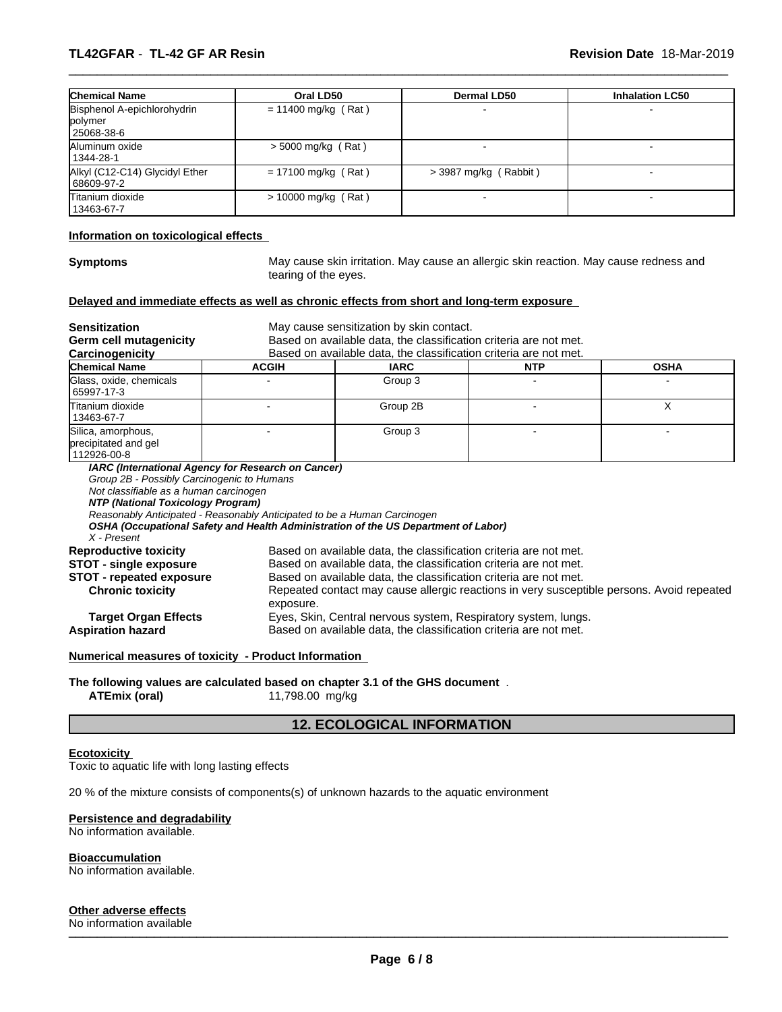| <b>Chemical Name</b>           | Oral LD50             | <b>Dermal LD50</b>    | <b>Inhalation LC50</b> |
|--------------------------------|-----------------------|-----------------------|------------------------|
| Bisphenol A-epichlorohydrin    | $= 11400$ mg/kg (Rat) |                       |                        |
| polymer                        |                       |                       |                        |
| 25068-38-6                     |                       |                       |                        |
| Aluminum oxide                 | $>$ 5000 mg/kg (Rat)  |                       |                        |
| 1344-28-1                      |                       |                       |                        |
| Alkyl (C12-C14) Glycidyl Ether | $= 17100$ mg/kg (Rat) | > 3987 mg/kg (Rabbit) |                        |
| 68609-97-2                     |                       |                       |                        |
| Titanium dioxide               | $> 10000$ mg/kg (Rat) |                       |                        |
| 13463-67-7                     |                       |                       |                        |

#### **Information on toxicological effects**

**Symptoms** May cause skin irritation. May cause an allergic skin reaction. May cause redness and tearing of the eyes.

 $\overline{\phantom{a}}$  ,  $\overline{\phantom{a}}$  ,  $\overline{\phantom{a}}$  ,  $\overline{\phantom{a}}$  ,  $\overline{\phantom{a}}$  ,  $\overline{\phantom{a}}$  ,  $\overline{\phantom{a}}$  ,  $\overline{\phantom{a}}$  ,  $\overline{\phantom{a}}$  ,  $\overline{\phantom{a}}$  ,  $\overline{\phantom{a}}$  ,  $\overline{\phantom{a}}$  ,  $\overline{\phantom{a}}$  ,  $\overline{\phantom{a}}$  ,  $\overline{\phantom{a}}$  ,  $\overline{\phantom{a}}$ 

#### **Delayed and immediate effects as well as chronic effects from short and long-term exposure**

| <b>Sensitization</b>                                                                       | May cause sensitization by skin contact.                                                                                                                       |                                                                   |            |             |  |
|--------------------------------------------------------------------------------------------|----------------------------------------------------------------------------------------------------------------------------------------------------------------|-------------------------------------------------------------------|------------|-------------|--|
| Germ cell mutagenicity                                                                     | Based on available data, the classification criteria are not met.                                                                                              |                                                                   |            |             |  |
| Carcinogenicity                                                                            |                                                                                                                                                                | Based on available data, the classification criteria are not met. |            |             |  |
| <b>Chemical Name</b>                                                                       | <b>ACGIH</b>                                                                                                                                                   | <b>IARC</b>                                                       | <b>NTP</b> | <b>OSHA</b> |  |
| Glass, oxide, chemicals<br>65997-17-3                                                      |                                                                                                                                                                | Group 3                                                           |            |             |  |
| lTitanium dioxide<br>13463-67-7                                                            |                                                                                                                                                                | Group 2B                                                          |            | X           |  |
| Silica, amorphous,<br>precipitated and gel<br>112926-00-8                                  |                                                                                                                                                                | Group 3                                                           |            |             |  |
| Not classifiable as a human carcinogen<br>NTP (National Toxicology Program)<br>X - Present | Reasonably Anticipated - Reasonably Anticipated to be a Human Carcinogen<br>OSHA (Occupational Safety and Health Administration of the US Department of Labor) |                                                                   |            |             |  |
| <b>Reproductive toxicity</b>                                                               | Based on available data, the classification criteria are not met.                                                                                              |                                                                   |            |             |  |
| <b>STOT - single exposure</b>                                                              |                                                                                                                                                                | Based on available data, the classification criteria are not met. |            |             |  |
| <b>STOT - repeated exposure</b>                                                            |                                                                                                                                                                | Based on available data, the classification criteria are not met. |            |             |  |
| <b>Chronic toxicity</b>                                                                    | Repeated contact may cause allergic reactions in very susceptible persons. Avoid repeated<br>exposure.                                                         |                                                                   |            |             |  |
| <b>Target Organ Effects</b>                                                                | Eyes, Skin, Central nervous system, Respiratory system, lungs.                                                                                                 |                                                                   |            |             |  |
| <b>Aspiration hazard</b>                                                                   | Based on available data, the classification criteria are not met.                                                                                              |                                                                   |            |             |  |
|                                                                                            | Numerical measures of toxicity - Product Information                                                                                                           |                                                                   |            |             |  |

**The following values are calculated based on chapter 3.1 of the GHS document** . **ATEmix (oral)** 11,798.00 mg/kg

# **12. ECOLOGICAL INFORMATION**

### **Ecotoxicity**

Toxic to aquatic life with long lasting effects

20 % of the mixture consists of components(s) of unknown hazards to the aquatic environment

#### **Persistence and degradability**

No information available.

**Bioaccumulation**

No information available.

**Other adverse effects**

No information available \_\_\_\_\_\_\_\_\_\_\_\_\_\_\_\_\_\_\_\_\_\_\_\_\_\_\_\_\_\_\_\_\_\_\_\_\_\_\_\_\_\_\_\_\_\_\_\_\_\_\_\_\_\_\_\_\_\_\_\_\_\_\_\_\_\_\_\_\_\_\_\_\_\_\_\_\_\_\_\_\_\_\_\_\_\_\_\_\_\_\_\_\_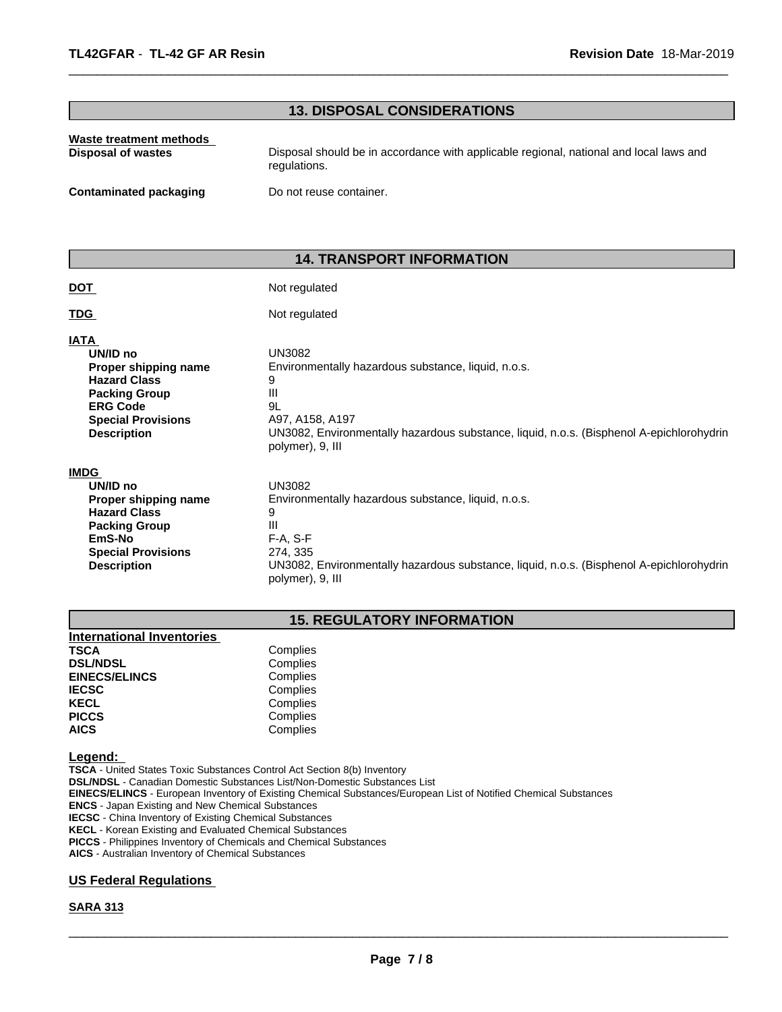# **13. DISPOSAL CONSIDERATIONS**

 $\overline{\phantom{a}}$  ,  $\overline{\phantom{a}}$  ,  $\overline{\phantom{a}}$  ,  $\overline{\phantom{a}}$  ,  $\overline{\phantom{a}}$  ,  $\overline{\phantom{a}}$  ,  $\overline{\phantom{a}}$  ,  $\overline{\phantom{a}}$  ,  $\overline{\phantom{a}}$  ,  $\overline{\phantom{a}}$  ,  $\overline{\phantom{a}}$  ,  $\overline{\phantom{a}}$  ,  $\overline{\phantom{a}}$  ,  $\overline{\phantom{a}}$  ,  $\overline{\phantom{a}}$  ,  $\overline{\phantom{a}}$ 

| Waste treatment methods | Disposal should be in accordance with applicable regional, national and local laws and |
|-------------------------|----------------------------------------------------------------------------------------|
| Disposal of wastes      | regulations.                                                                           |
| Contaminated packaging  | Do not reuse container.                                                                |

# **14. TRANSPORT INFORMATION**

| <b>DOT</b>                                                                                                                                                           | Not regulated                                                                                                                                                                                                            |
|----------------------------------------------------------------------------------------------------------------------------------------------------------------------|--------------------------------------------------------------------------------------------------------------------------------------------------------------------------------------------------------------------------|
| <b>TDG</b>                                                                                                                                                           | Not regulated                                                                                                                                                                                                            |
| <b>IATA</b><br>UN/ID no<br>Proper shipping name<br><b>Hazard Class</b><br><b>Packing Group</b><br><b>ERG Code</b><br><b>Special Provisions</b><br><b>Description</b> | <b>UN3082</b><br>Environmentally hazardous substance, liquid, n.o.s.<br>9<br>Ш<br>9L<br>A97, A158, A197<br>UN3082, Environmentally hazardous substance, liquid, n.o.s. (Bisphenol A-epichlorohydrin<br>polymer), 9, III  |
| <b>IMDG</b><br>UN/ID no<br>Proper shipping name<br><b>Hazard Class</b><br><b>Packing Group</b><br>EmS-No<br><b>Special Provisions</b><br><b>Description</b>          | <b>UN3082</b><br>Environmentally hazardous substance, liquid, n.o.s.<br>9<br>Ш<br>$F-A, S-F$<br>274, 335<br>UN3082, Environmentally hazardous substance, liquid, n.o.s. (Bisphenol A-epichlorohydrin<br>polymer), 9, III |

# **15. REGULATORY INFORMATION**

| Complies |  |
|----------|--|
| Complies |  |
| Complies |  |
| Complies |  |
| Complies |  |
| Complies |  |
| Complies |  |
|          |  |

#### **Legend:**

**TSCA** - United States Toxic Substances Control Act Section 8(b) Inventory **DSL/NDSL** - Canadian Domestic Substances List/Non-Domestic Substances List **EINECS/ELINCS** - European Inventory of Existing Chemical Substances/European List of Notified Chemical Substances **ENCS** - Japan Existing and New Chemical Substances **IECSC** - China Inventory of Existing Chemical Substances **KECL** - Korean Existing and Evaluated Chemical Substances **PICCS** - Philippines Inventory of Chemicals and Chemical Substances **AICS** - Australian Inventory of Chemical Substances

# **US Federal Regulations**

#### **SARA 313**